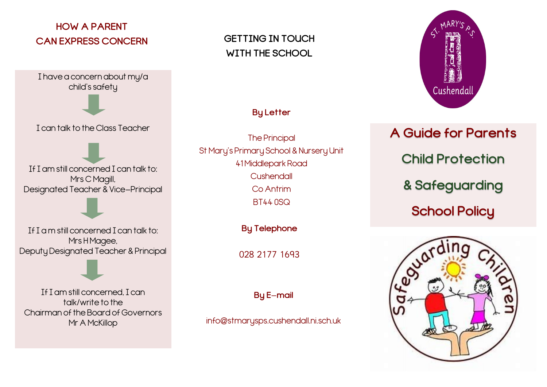# **HOW A PARENT CAN EXPRESS CONCERN**

I have a concern about my/a child's safety

I can talk to the Class Teacher

If I am still concerned I can talk to: Mrs C Magill, Designated Teacher & Vice-Principal

If I a m still concerned I can talk to: Mrs H Magee, Deputy Designated Teacher & Principal

If I am still concerned, I can talk/write to the Chairman of the Board of Governors Mr A McKillop

**GETTING IN TOUCH WITH THE SCHOOL**

## **By Letter**

The Principal St Mary's Primary School & Nursery Unit 41 Middlepark Road **Cushendall** Co Antrim BT44 0SQ

**By Telephone**

028 2177 1693

**By E-mail**

info@stmarysps.cushendall.ni.sch.uk



**A Guide for Parents Child Protection & Safeguarding School Policy**